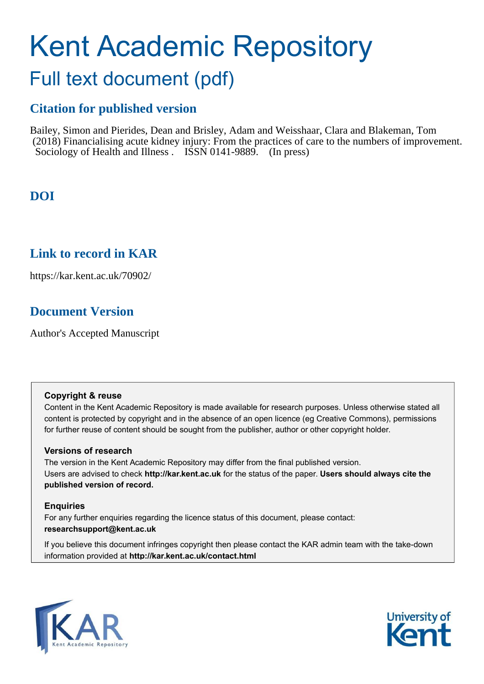# Kent Academic Repository

## Full text document (pdf)

## **Citation for published version**

Bailey, Simon and Pierides, Dean and Brisley, Adam and Weisshaar, Clara and Blakeman, Tom (2018) Financialising acute kidney injury: From the practices of care to the numbers of improvement. Sociology of Health and Illness . ISSN 0141-9889. (In press)

## **DOI**

### **Link to record in KAR**

https://kar.kent.ac.uk/70902/

## **Document Version**

Author's Accepted Manuscript

#### **Copyright & reuse**

Content in the Kent Academic Repository is made available for research purposes. Unless otherwise stated all content is protected by copyright and in the absence of an open licence (eg Creative Commons), permissions for further reuse of content should be sought from the publisher, author or other copyright holder.

#### **Versions of research**

The version in the Kent Academic Repository may differ from the final published version. Users are advised to check **http://kar.kent.ac.uk** for the status of the paper. **Users should always cite the published version of record.**

#### **Enquiries**

For any further enquiries regarding the licence status of this document, please contact: **researchsupport@kent.ac.uk**

If you believe this document infringes copyright then please contact the KAR admin team with the take-down information provided at **http://kar.kent.ac.uk/contact.html**



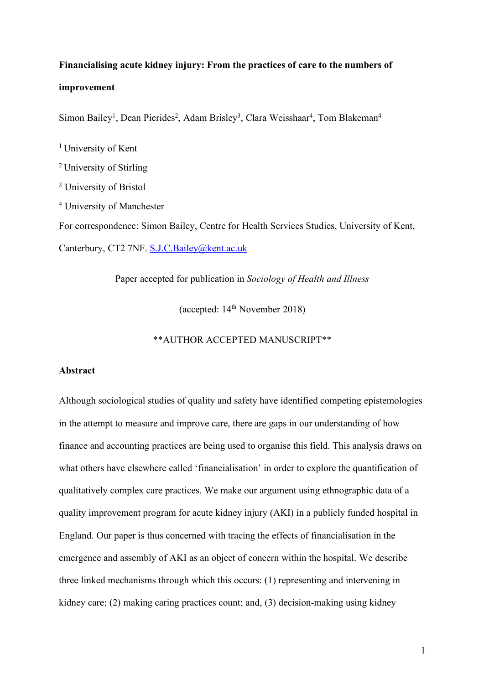## **Financialising acute kidney injury: From the practices of care to the numbers of improvement**

Simon Bailey<sup>1</sup>, Dean Pierides<sup>2</sup>, Adam Brisley<sup>3</sup>, Clara Weisshaar<sup>4</sup>, Tom Blakeman<sup>4</sup>

<sup>1</sup> University of Kent <sup>2</sup> University of Stirling <sup>3</sup> University of Bristol <sup>4</sup> University of Manchester For correspondence: Simon Bailey, Centre for Health Services Studies, University of Kent, Canterbury, CT2 7NF. S.J.C.Bailey@kent.ac.uk

Paper accepted for publication in *Sociology of Health and Illness* 

(accepted: 14th November 2018)

#### \*\*AUTHOR ACCEPTED MANUSCRIPT\*\*

#### **Abstract**

Although sociological studies of quality and safety have identified competing epistemologies in the attempt to measure and improve care, there are gaps in our understanding of how finance and accounting practices are being used to organise this field. This analysis draws on what others have elsewhere called 'financialisation' in order to explore the quantification of qualitatively complex care practices. We make our argument using ethnographic data of a quality improvement program for acute kidney injury (AKI) in a publicly funded hospital in England. Our paper is thus concerned with tracing the effects of financialisation in the emergence and assembly of AKI as an object of concern within the hospital. We describe three linked mechanisms through which this occurs: (1) representing and intervening in kidney care; (2) making caring practices count; and, (3) decision-making using kidney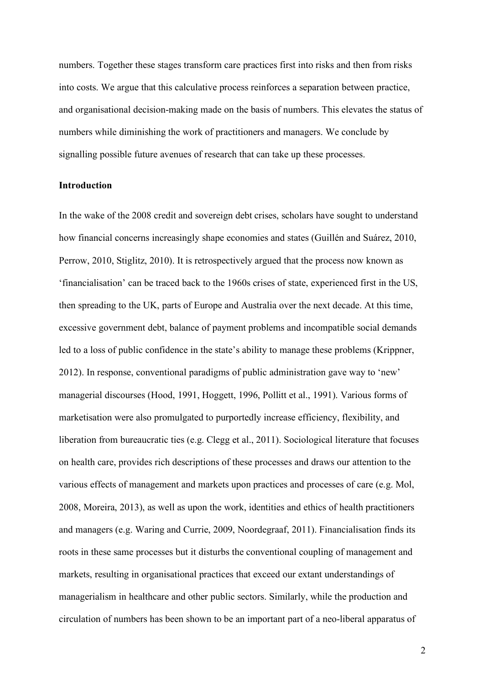numbers. Together these stages transform care practices first into risks and then from risks into costs. We argue that this calculative process reinforces a separation between practice, and organisational decision-making made on the basis of numbers. This elevates the status of numbers while diminishing the work of practitioners and managers. We conclude by signalling possible future avenues of research that can take up these processes.

#### **Introduction**

In the wake of the 2008 credit and sovereign debt crises, scholars have sought to understand how financial concerns increasingly shape economies and states (Guillén and Suárez, 2010, Perrow, 2010, Stiglitz, 2010). It is retrospectively argued that the process now known as 'financialisation' can be traced back to the 1960s crises of state, experienced first in the US, then spreading to the UK, parts of Europe and Australia over the next decade. At this time, excessive government debt, balance of payment problems and incompatible social demands led to a loss of public confidence in the state's ability to manage these problems (Krippner, 2012). In response, conventional paradigms of public administration gave way to 'new' managerial discourses (Hood, 1991, Hoggett, 1996, Pollitt et al., 1991). Various forms of marketisation were also promulgated to purportedly increase efficiency, flexibility, and liberation from bureaucratic ties (e.g. Clegg et al., 2011). Sociological literature that focuses on health care, provides rich descriptions of these processes and draws our attention to the various effects of management and markets upon practices and processes of care (e.g. Mol, 2008, Moreira, 2013), as well as upon the work, identities and ethics of health practitioners and managers (e.g. Waring and Currie, 2009, Noordegraaf, 2011). Financialisation finds its roots in these same processes but it disturbs the conventional coupling of management and markets, resulting in organisational practices that exceed our extant understandings of managerialism in healthcare and other public sectors. Similarly, while the production and circulation of numbers has been shown to be an important part of a neo-liberal apparatus of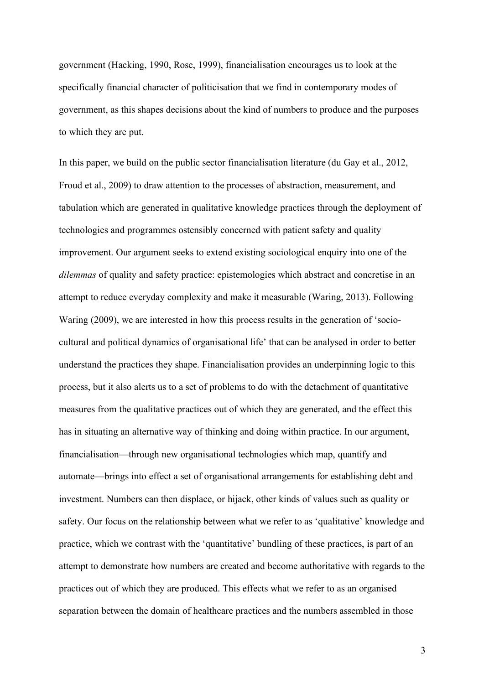government (Hacking, 1990, Rose, 1999), financialisation encourages us to look at the specifically financial character of politicisation that we find in contemporary modes of government, as this shapes decisions about the kind of numbers to produce and the purposes to which they are put.

In this paper, we build on the public sector financialisation literature (du Gay et al., 2012, Froud et al., 2009) to draw attention to the processes of abstraction, measurement, and tabulation which are generated in qualitative knowledge practices through the deployment of technologies and programmes ostensibly concerned with patient safety and quality improvement. Our argument seeks to extend existing sociological enquiry into one of the *dilemmas* of quality and safety practice: epistemologies which abstract and concretise in an attempt to reduce everyday complexity and make it measurable (Waring, 2013). Following Waring (2009), we are interested in how this process results in the generation of 'sociocultural and political dynamics of organisational life' that can be analysed in order to better understand the practices they shape. Financialisation provides an underpinning logic to this process, but it also alerts us to a set of problems to do with the detachment of quantitative measures from the qualitative practices out of which they are generated, and the effect this has in situating an alternative way of thinking and doing within practice. In our argument, financialisation—through new organisational technologies which map, quantify and automate—brings into effect a set of organisational arrangements for establishing debt and investment. Numbers can then displace, or hijack, other kinds of values such as quality or safety. Our focus on the relationship between what we refer to as 'qualitative' knowledge and practice, which we contrast with the 'quantitative' bundling of these practices, is part of an attempt to demonstrate how numbers are created and become authoritative with regards to the practices out of which they are produced. This effects what we refer to as an organised separation between the domain of healthcare practices and the numbers assembled in those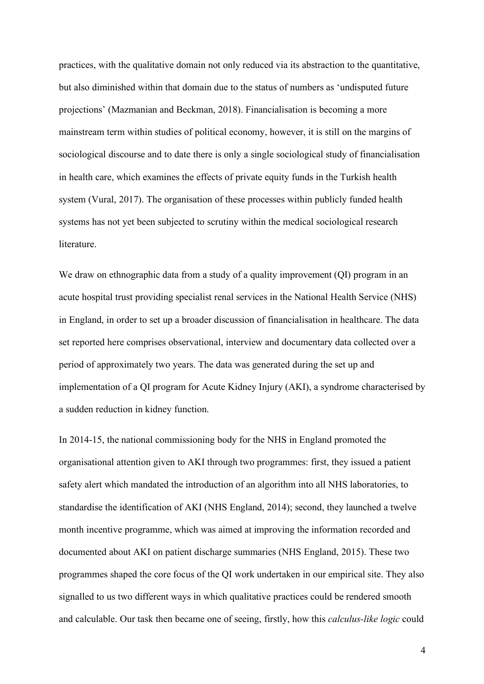practices, with the qualitative domain not only reduced via its abstraction to the quantitative, but also diminished within that domain due to the status of numbers as 'undisputed future projections' (Mazmanian and Beckman, 2018). Financialisation is becoming a more mainstream term within studies of political economy, however, it is still on the margins of sociological discourse and to date there is only a single sociological study of financialisation in health care, which examines the effects of private equity funds in the Turkish health system (Vural, 2017). The organisation of these processes within publicly funded health systems has not yet been subjected to scrutiny within the medical sociological research literature.

We draw on ethnographic data from a study of a quality improvement (QI) program in an acute hospital trust providing specialist renal services in the National Health Service (NHS) in England, in order to set up a broader discussion of financialisation in healthcare. The data set reported here comprises observational, interview and documentary data collected over a period of approximately two years. The data was generated during the set up and implementation of a QI program for Acute Kidney Injury (AKI), a syndrome characterised by a sudden reduction in kidney function.

In 2014-15, the national commissioning body for the NHS in England promoted the organisational attention given to AKI through two programmes: first, they issued a patient safety alert which mandated the introduction of an algorithm into all NHS laboratories, to standardise the identification of AKI (NHS England, 2014); second, they launched a twelve month incentive programme, which was aimed at improving the information recorded and documented about AKI on patient discharge summaries (NHS England, 2015). These two programmes shaped the core focus of the QI work undertaken in our empirical site. They also signalled to us two different ways in which qualitative practices could be rendered smooth and calculable. Our task then became one of seeing, firstly, how this *calculus-like logic* could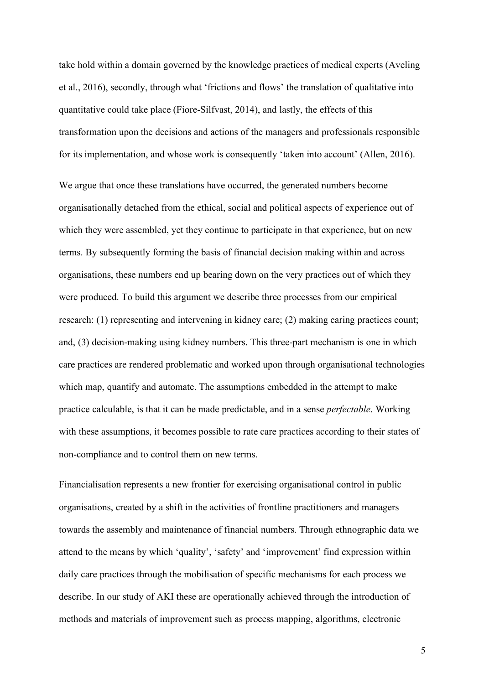take hold within a domain governed by the knowledge practices of medical experts (Aveling et al., 2016), secondly, through what 'frictions and flows' the translation of qualitative into quantitative could take place (Fiore-Silfvast, 2014), and lastly, the effects of this transformation upon the decisions and actions of the managers and professionals responsible for its implementation, and whose work is consequently 'taken into account' (Allen, 2016).

We argue that once these translations have occurred, the generated numbers become organisationally detached from the ethical, social and political aspects of experience out of which they were assembled, yet they continue to participate in that experience, but on new terms. By subsequently forming the basis of financial decision making within and across organisations, these numbers end up bearing down on the very practices out of which they were produced. To build this argument we describe three processes from our empirical research: (1) representing and intervening in kidney care; (2) making caring practices count; and, (3) decision-making using kidney numbers. This three-part mechanism is one in which care practices are rendered problematic and worked upon through organisational technologies which map, quantify and automate. The assumptions embedded in the attempt to make practice calculable, is that it can be made predictable, and in a sense *perfectable*. Working with these assumptions, it becomes possible to rate care practices according to their states of non-compliance and to control them on new terms.

Financialisation represents a new frontier for exercising organisational control in public organisations, created by a shift in the activities of frontline practitioners and managers towards the assembly and maintenance of financial numbers. Through ethnographic data we attend to the means by which 'quality', 'safety' and 'improvement' find expression within daily care practices through the mobilisation of specific mechanisms for each process we describe. In our study of AKI these are operationally achieved through the introduction of methods and materials of improvement such as process mapping, algorithms, electronic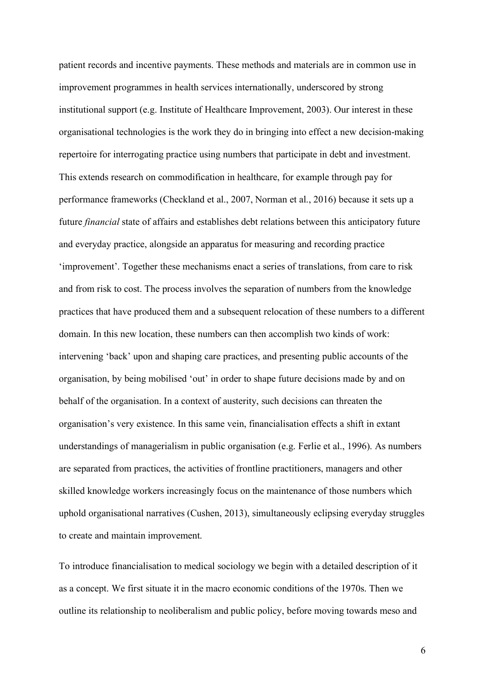patient records and incentive payments. These methods and materials are in common use in improvement programmes in health services internationally, underscored by strong institutional support (e.g. Institute of Healthcare Improvement, 2003). Our interest in these organisational technologies is the work they do in bringing into effect a new decision-making repertoire for interrogating practice using numbers that participate in debt and investment. This extends research on commodification in healthcare, for example through pay for performance frameworks (Checkland et al., 2007, Norman et al., 2016) because it sets up a future *financial* state of affairs and establishes debt relations between this anticipatory future and everyday practice, alongside an apparatus for measuring and recording practice 'improvement'. Together these mechanisms enact a series of translations, from care to risk and from risk to cost. The process involves the separation of numbers from the knowledge practices that have produced them and a subsequent relocation of these numbers to a different domain. In this new location, these numbers can then accomplish two kinds of work: intervening 'back' upon and shaping care practices, and presenting public accounts of the organisation, by being mobilised 'out' in order to shape future decisions made by and on behalf of the organisation. In a context of austerity, such decisions can threaten the organisation's very existence. In this same vein, financialisation effects a shift in extant understandings of managerialism in public organisation (e.g. Ferlie et al., 1996). As numbers are separated from practices, the activities of frontline practitioners, managers and other skilled knowledge workers increasingly focus on the maintenance of those numbers which uphold organisational narratives (Cushen, 2013), simultaneously eclipsing everyday struggles to create and maintain improvement.

To introduce financialisation to medical sociology we begin with a detailed description of it as a concept. We first situate it in the macro economic conditions of the 1970s. Then we outline its relationship to neoliberalism and public policy, before moving towards meso and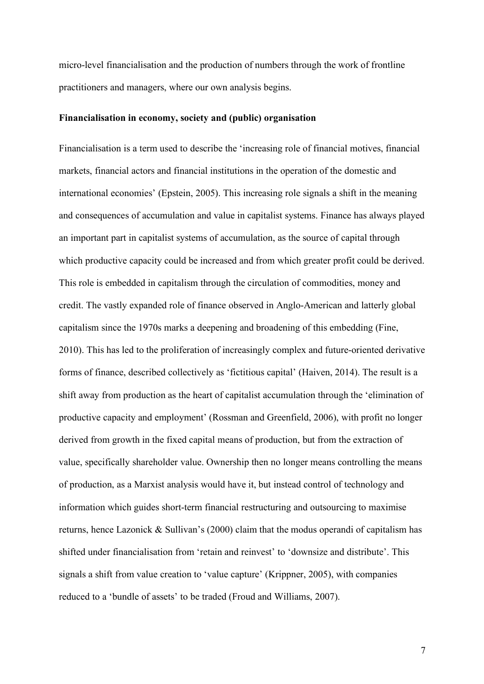micro-level financialisation and the production of numbers through the work of frontline practitioners and managers, where our own analysis begins.

#### **Financialisation in economy, society and (public) organisation**

Financialisation is a term used to describe the 'increasing role of financial motives, financial markets, financial actors and financial institutions in the operation of the domestic and international economies' (Epstein, 2005). This increasing role signals a shift in the meaning and consequences of accumulation and value in capitalist systems. Finance has always played an important part in capitalist systems of accumulation, as the source of capital through which productive capacity could be increased and from which greater profit could be derived. This role is embedded in capitalism through the circulation of commodities, money and credit. The vastly expanded role of finance observed in Anglo-American and latterly global capitalism since the 1970s marks a deepening and broadening of this embedding (Fine, 2010). This has led to the proliferation of increasingly complex and future-oriented derivative forms of finance, described collectively as 'fictitious capital' (Haiven, 2014). The result is a shift away from production as the heart of capitalist accumulation through the 'elimination of productive capacity and employment' (Rossman and Greenfield, 2006), with profit no longer derived from growth in the fixed capital means of production, but from the extraction of value, specifically shareholder value. Ownership then no longer means controlling the means of production, as a Marxist analysis would have it, but instead control of technology and information which guides short-term financial restructuring and outsourcing to maximise returns, hence Lazonick & Sullivan's (2000) claim that the modus operandi of capitalism has shifted under financialisation from 'retain and reinvest' to 'downsize and distribute'. This signals a shift from value creation to 'value capture' (Krippner, 2005), with companies reduced to a 'bundle of assets' to be traded (Froud and Williams, 2007).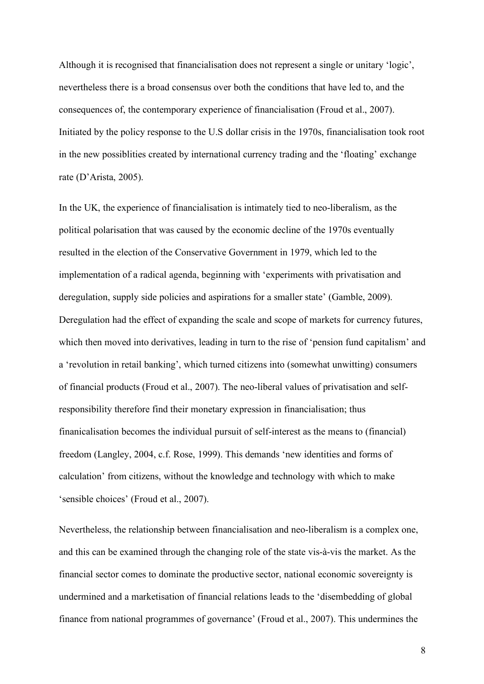Although it is recognised that financialisation does not represent a single or unitary 'logic', nevertheless there is a broad consensus over both the conditions that have led to, and the consequences of, the contemporary experience of financialisation (Froud et al., 2007). Initiated by the policy response to the U.S dollar crisis in the 1970s, financialisation took root in the new possiblities created by international currency trading and the 'floating' exchange rate (D'Arista, 2005).

In the UK, the experience of financialisation is intimately tied to neo-liberalism, as the political polarisation that was caused by the economic decline of the 1970s eventually resulted in the election of the Conservative Government in 1979, which led to the implementation of a radical agenda, beginning with 'experiments with privatisation and deregulation, supply side policies and aspirations for a smaller state' (Gamble, 2009). Deregulation had the effect of expanding the scale and scope of markets for currency futures, which then moved into derivatives, leading in turn to the rise of 'pension fund capitalism' and a 'revolution in retail banking', which turned citizens into (somewhat unwitting) consumers of financial products (Froud et al., 2007). The neo-liberal values of privatisation and selfresponsibility therefore find their monetary expression in financialisation; thus finanicalisation becomes the individual pursuit of self-interest as the means to (financial) freedom (Langley, 2004, c.f. Rose, 1999). This demands 'new identities and forms of calculation' from citizens, without the knowledge and technology with which to make 'sensible choices' (Froud et al., 2007).

Nevertheless, the relationship between financialisation and neo-liberalism is a complex one, and this can be examined through the changing role of the state vis-à-vis the market. As the financial sector comes to dominate the productive sector, national economic sovereignty is undermined and a marketisation of financial relations leads to the 'disembedding of global finance from national programmes of governance' (Froud et al., 2007). This undermines the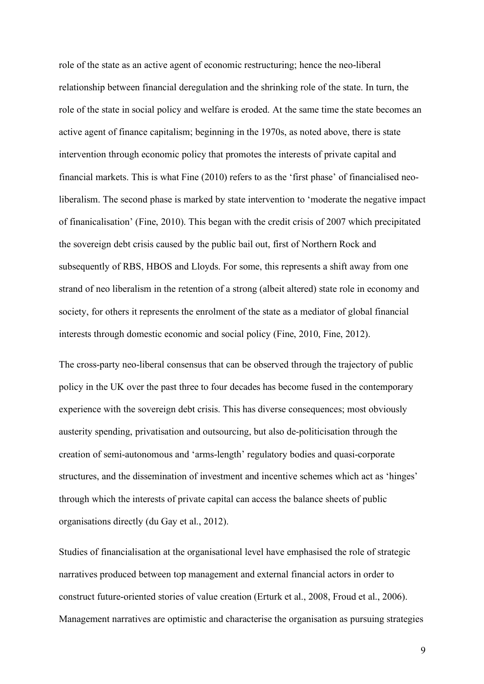role of the state as an active agent of economic restructuring; hence the neo-liberal relationship between financial deregulation and the shrinking role of the state. In turn, the role of the state in social policy and welfare is eroded. At the same time the state becomes an active agent of finance capitalism; beginning in the 1970s, as noted above, there is state intervention through economic policy that promotes the interests of private capital and financial markets. This is what Fine (2010) refers to as the 'first phase' of financialised neoliberalism. The second phase is marked by state intervention to 'moderate the negative impact of finanicalisation' (Fine, 2010). This began with the credit crisis of 2007 which precipitated the sovereign debt crisis caused by the public bail out, first of Northern Rock and subsequently of RBS, HBOS and Lloyds. For some, this represents a shift away from one strand of neo liberalism in the retention of a strong (albeit altered) state role in economy and society, for others it represents the enrolment of the state as a mediator of global financial interests through domestic economic and social policy (Fine, 2010, Fine, 2012).

The cross-party neo-liberal consensus that can be observed through the trajectory of public policy in the UK over the past three to four decades has become fused in the contemporary experience with the sovereign debt crisis. This has diverse consequences; most obviously austerity spending, privatisation and outsourcing, but also de-politicisation through the creation of semi-autonomous and 'arms-length' regulatory bodies and quasi-corporate structures, and the dissemination of investment and incentive schemes which act as 'hinges' through which the interests of private capital can access the balance sheets of public organisations directly (du Gay et al., 2012).

Studies of financialisation at the organisational level have emphasised the role of strategic narratives produced between top management and external financial actors in order to construct future-oriented stories of value creation (Erturk et al., 2008, Froud et al., 2006). Management narratives are optimistic and characterise the organisation as pursuing strategies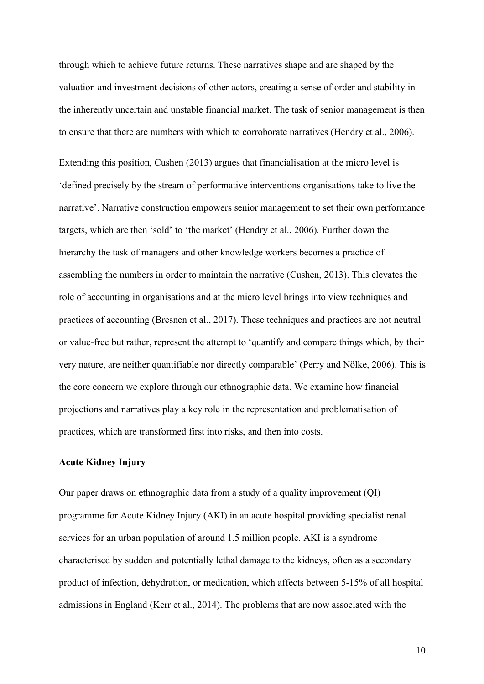through which to achieve future returns. These narratives shape and are shaped by the valuation and investment decisions of other actors, creating a sense of order and stability in the inherently uncertain and unstable financial market. The task of senior management is then to ensure that there are numbers with which to corroborate narratives (Hendry et al., 2006).

Extending this position, Cushen (2013) argues that financialisation at the micro level is 'defined precisely by the stream of performative interventions organisations take to live the narrative'. Narrative construction empowers senior management to set their own performance targets, which are then 'sold' to 'the market' (Hendry et al., 2006). Further down the hierarchy the task of managers and other knowledge workers becomes a practice of assembling the numbers in order to maintain the narrative (Cushen, 2013). This elevates the role of accounting in organisations and at the micro level brings into view techniques and practices of accounting (Bresnen et al., 2017). These techniques and practices are not neutral or value-free but rather, represent the attempt to 'quantify and compare things which, by their very nature, are neither quantifiable nor directly comparable' (Perry and Nölke, 2006). This is the core concern we explore through our ethnographic data. We examine how financial projections and narratives play a key role in the representation and problematisation of practices, which are transformed first into risks, and then into costs.

#### **Acute Kidney Injury**

Our paper draws on ethnographic data from a study of a quality improvement (QI) programme for Acute Kidney Injury (AKI) in an acute hospital providing specialist renal services for an urban population of around 1.5 million people. AKI is a syndrome characterised by sudden and potentially lethal damage to the kidneys, often as a secondary product of infection, dehydration, or medication, which affects between 5-15% of all hospital admissions in England (Kerr et al., 2014). The problems that are now associated with the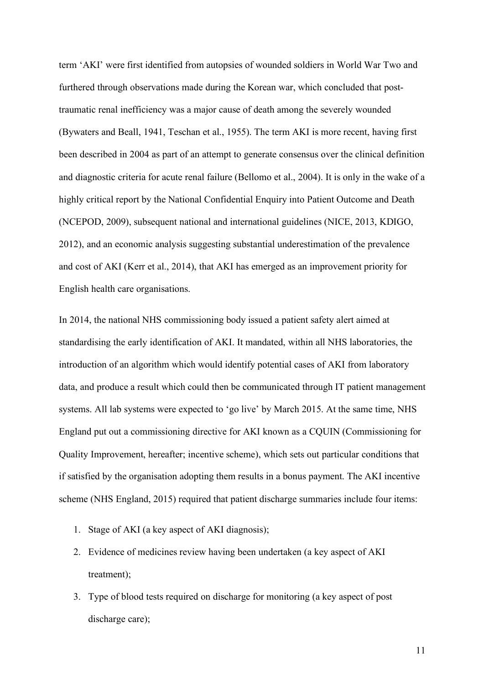term 'AKI' were first identified from autopsies of wounded soldiers in World War Two and furthered through observations made during the Korean war, which concluded that posttraumatic renal inefficiency was a major cause of death among the severely wounded (Bywaters and Beall, 1941, Teschan et al., 1955). The term AKI is more recent, having first been described in 2004 as part of an attempt to generate consensus over the clinical definition and diagnostic criteria for acute renal failure (Bellomo et al., 2004). It is only in the wake of a highly critical report by the National Confidential Enquiry into Patient Outcome and Death (NCEPOD, 2009), subsequent national and international guidelines (NICE, 2013, KDIGO, 2012), and an economic analysis suggesting substantial underestimation of the prevalence and cost of AKI (Kerr et al., 2014), that AKI has emerged as an improvement priority for English health care organisations.

In 2014, the national NHS commissioning body issued a patient safety alert aimed at standardising the early identification of AKI. It mandated, within all NHS laboratories, the introduction of an algorithm which would identify potential cases of AKI from laboratory data, and produce a result which could then be communicated through IT patient management systems. All lab systems were expected to 'go live' by March 2015. At the same time, NHS England put out a commissioning directive for AKI known as a CQUIN (Commissioning for Quality Improvement, hereafter; incentive scheme), which sets out particular conditions that if satisfied by the organisation adopting them results in a bonus payment. The AKI incentive scheme (NHS England, 2015) required that patient discharge summaries include four items:

- 1. Stage of AKI (a key aspect of AKI diagnosis);
- 2. Evidence of medicines review having been undertaken (a key aspect of AKI treatment);
- 3. Type of blood tests required on discharge for monitoring (a key aspect of post discharge care);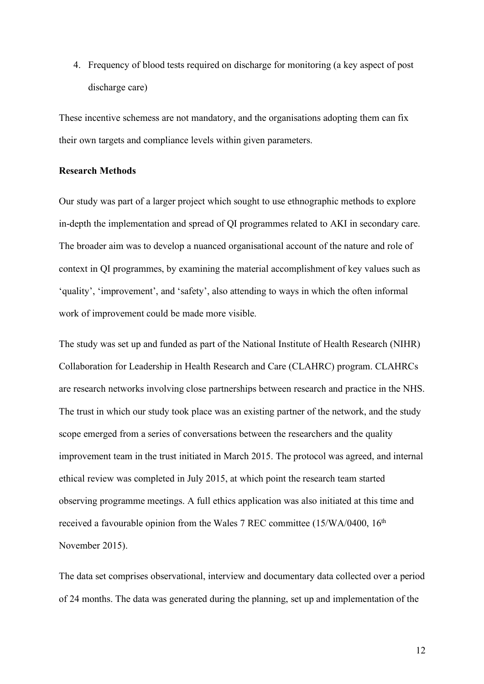4. Frequency of blood tests required on discharge for monitoring (a key aspect of post discharge care)

These incentive schemess are not mandatory, and the organisations adopting them can fix their own targets and compliance levels within given parameters.

#### **Research Methods**

Our study was part of a larger project which sought to use ethnographic methods to explore in-depth the implementation and spread of QI programmes related to AKI in secondary care. The broader aim was to develop a nuanced organisational account of the nature and role of context in QI programmes, by examining the material accomplishment of key values such as 'quality', 'improvement', and 'safety', also attending to ways in which the often informal work of improvement could be made more visible.

The study was set up and funded as part of the National Institute of Health Research (NIHR) Collaboration for Leadership in Health Research and Care (CLAHRC) program. CLAHRCs are research networks involving close partnerships between research and practice in the NHS. The trust in which our study took place was an existing partner of the network, and the study scope emerged from a series of conversations between the researchers and the quality improvement team in the trust initiated in March 2015. The protocol was agreed, and internal ethical review was completed in July 2015, at which point the research team started observing programme meetings. A full ethics application was also initiated at this time and received a favourable opinion from the Wales 7 REC committee (15/WA/0400, 16<sup>th</sup>) November 2015).

The data set comprises observational, interview and documentary data collected over a period of 24 months. The data was generated during the planning, set up and implementation of the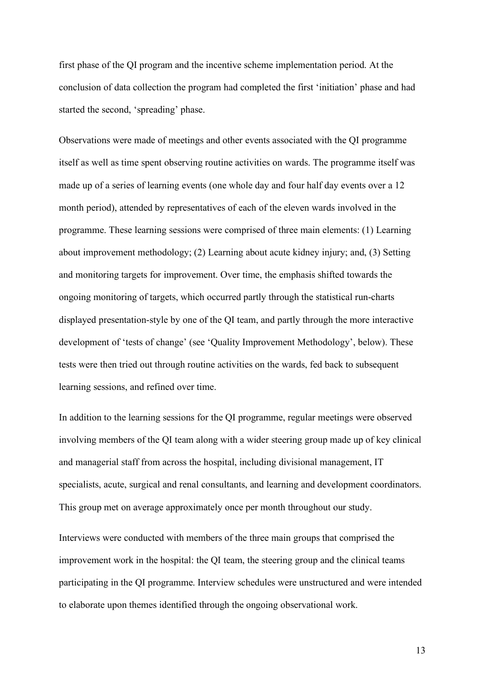first phase of the QI program and the incentive scheme implementation period. At the conclusion of data collection the program had completed the first 'initiation' phase and had started the second, 'spreading' phase.

Observations were made of meetings and other events associated with the QI programme itself as well as time spent observing routine activities on wards. The programme itself was made up of a series of learning events (one whole day and four half day events over a 12 month period), attended by representatives of each of the eleven wards involved in the programme. These learning sessions were comprised of three main elements: (1) Learning about improvement methodology; (2) Learning about acute kidney injury; and, (3) Setting and monitoring targets for improvement. Over time, the emphasis shifted towards the ongoing monitoring of targets, which occurred partly through the statistical run-charts displayed presentation-style by one of the QI team, and partly through the more interactive development of 'tests of change' (see 'Quality Improvement Methodology', below). These tests were then tried out through routine activities on the wards, fed back to subsequent learning sessions, and refined over time.

In addition to the learning sessions for the QI programme, regular meetings were observed involving members of the QI team along with a wider steering group made up of key clinical and managerial staff from across the hospital, including divisional management, IT specialists, acute, surgical and renal consultants, and learning and development coordinators. This group met on average approximately once per month throughout our study.

Interviews were conducted with members of the three main groups that comprised the improvement work in the hospital: the QI team, the steering group and the clinical teams participating in the QI programme. Interview schedules were unstructured and were intended to elaborate upon themes identified through the ongoing observational work.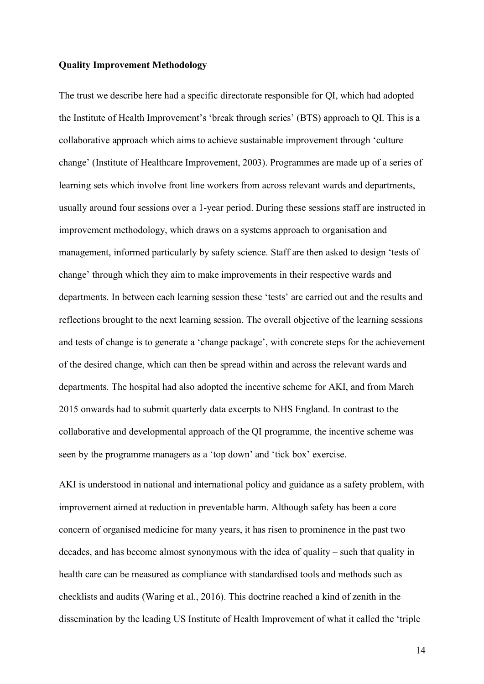#### **Quality Improvement Methodology**

The trust we describe here had a specific directorate responsible for QI, which had adopted the Institute of Health Improvement's 'break through series' (BTS) approach to QI. This is a collaborative approach which aims to achieve sustainable improvement through 'culture change' (Institute of Healthcare Improvement, 2003). Programmes are made up of a series of learning sets which involve front line workers from across relevant wards and departments, usually around four sessions over a 1-year period. During these sessions staff are instructed in improvement methodology, which draws on a systems approach to organisation and management, informed particularly by safety science. Staff are then asked to design 'tests of change' through which they aim to make improvements in their respective wards and departments. In between each learning session these 'tests' are carried out and the results and reflections brought to the next learning session. The overall objective of the learning sessions and tests of change is to generate a 'change package', with concrete steps for the achievement of the desired change, which can then be spread within and across the relevant wards and departments. The hospital had also adopted the incentive scheme for AKI, and from March 2015 onwards had to submit quarterly data excerpts to NHS England. In contrast to the collaborative and developmental approach of the QI programme, the incentive scheme was seen by the programme managers as a 'top down' and 'tick box' exercise.

AKI is understood in national and international policy and guidance as a safety problem, with improvement aimed at reduction in preventable harm. Although safety has been a core concern of organised medicine for many years, it has risen to prominence in the past two decades, and has become almost synonymous with the idea of quality – such that quality in health care can be measured as compliance with standardised tools and methods such as checklists and audits (Waring et al., 2016). This doctrine reached a kind of zenith in the dissemination by the leading US Institute of Health Improvement of what it called the 'triple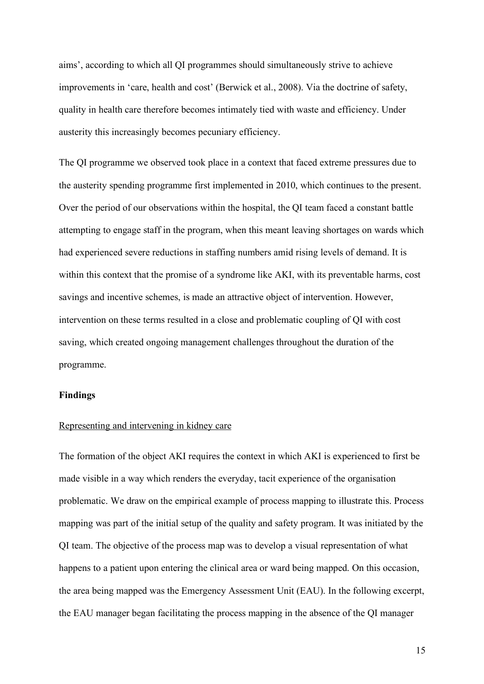aims', according to which all QI programmes should simultaneously strive to achieve improvements in 'care, health and cost' (Berwick et al., 2008). Via the doctrine of safety, quality in health care therefore becomes intimately tied with waste and efficiency. Under austerity this increasingly becomes pecuniary efficiency.

The QI programme we observed took place in a context that faced extreme pressures due to the austerity spending programme first implemented in 2010, which continues to the present. Over the period of our observations within the hospital, the QI team faced a constant battle attempting to engage staff in the program, when this meant leaving shortages on wards which had experienced severe reductions in staffing numbers amid rising levels of demand. It is within this context that the promise of a syndrome like AKI, with its preventable harms, cost savings and incentive schemes, is made an attractive object of intervention. However, intervention on these terms resulted in a close and problematic coupling of QI with cost saving, which created ongoing management challenges throughout the duration of the programme.

#### **Findings**

#### Representing and intervening in kidney care

The formation of the object AKI requires the context in which AKI is experienced to first be made visible in a way which renders the everyday, tacit experience of the organisation problematic. We draw on the empirical example of process mapping to illustrate this. Process mapping was part of the initial setup of the quality and safety program. It was initiated by the QI team. The objective of the process map was to develop a visual representation of what happens to a patient upon entering the clinical area or ward being mapped. On this occasion, the area being mapped was the Emergency Assessment Unit (EAU). In the following excerpt, the EAU manager began facilitating the process mapping in the absence of the QI manager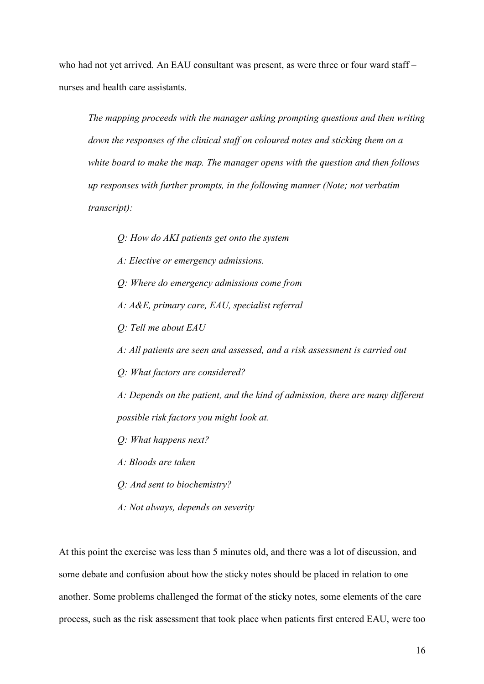who had not yet arrived. An EAU consultant was present, as were three or four ward staff – nurses and health care assistants.

*The mapping proceeds with the manager asking prompting questions and then writing down the responses of the clinical staff on coloured notes and sticking them on a white board to make the map. The manager opens with the question and then follows up responses with further prompts, in the following manner (Note; not verbatim transcript):*

*Q: How do AKI patients get onto the system*

- *A: Elective or emergency admissions.*
- *Q: Where do emergency admissions come from*
- *A: A&E, primary care, EAU, specialist referral*
- *Q: Tell me about EAU*
- *A: All patients are seen and assessed, and a risk assessment is carried out*
- *Q: What factors are considered?*

*A: Depends on the patient, and the kind of admission, there are many different possible risk factors you might look at.*

*Q: What happens next?*

- *A: Bloods are taken*
- *Q: And sent to biochemistry?*
- *A: Not always, depends on severity*

At this point the exercise was less than 5 minutes old, and there was a lot of discussion, and some debate and confusion about how the sticky notes should be placed in relation to one another. Some problems challenged the format of the sticky notes, some elements of the care process, such as the risk assessment that took place when patients first entered EAU, were too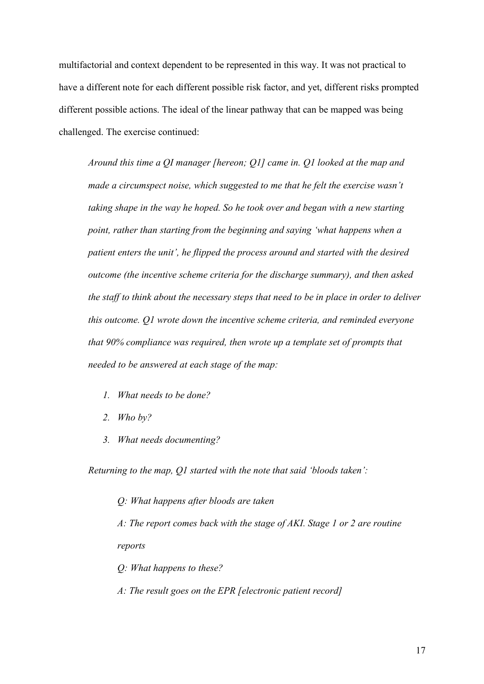multifactorial and context dependent to be represented in this way. It was not practical to have a different note for each different possible risk factor, and yet, different risks prompted different possible actions. The ideal of the linear pathway that can be mapped was being challenged. The exercise continued:

*Around this time a QI manager [hereon; Q1] came in. Q1 looked at the map and made a circumspect noise, which suggested to me that he felt the exercise wasn't taking shape in the way he hoped. So he took over and began with a new starting point, rather than starting from the beginning and saying 'what happens when a patient enters the unit', he flipped the process around and started with the desired outcome (the incentive scheme criteria for the discharge summary), and then asked the staff to think about the necessary steps that need to be in place in order to deliver this outcome. Q1 wrote down the incentive scheme criteria, and reminded everyone that 90% compliance was required, then wrote up a template set of prompts that needed to be answered at each stage of the map:*

- *1. What needs to be done?*
- *2. Who by?*
- *3. What needs documenting?*

*Returning to the map, Q1 started with the note that said 'bloods taken':*

*Q: What happens after bloods are taken A: The report comes back with the stage of AKI. Stage 1 or 2 are routine reports*

*Q: What happens to these?*

*A: The result goes on the EPR [electronic patient record]*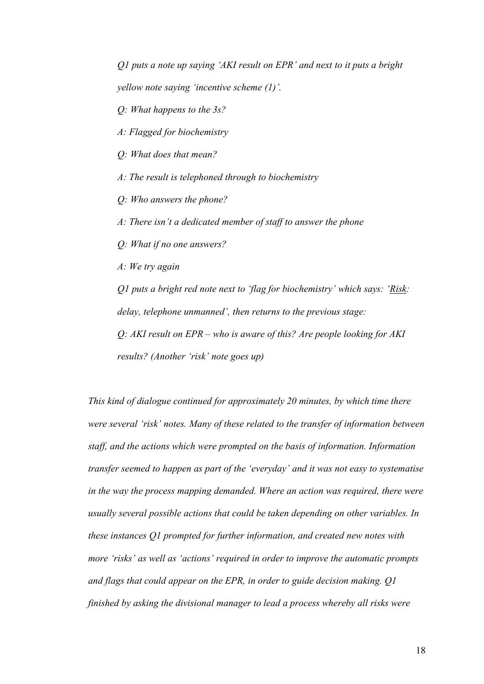*Q1 puts a note up saying 'AKI result on EPR' and next to it puts a bright yellow note saying 'incentive scheme (1)'.*

*Q: What happens to the 3s?*

*A: Flagged for biochemistry*

*Q: What does that mean?*

*A: The result is telephoned through to biochemistry*

*Q: Who answers the phone?*

*A: There isn't a dedicated member of staff to answer the phone*

*Q: What if no one answers?*

*A: We try again*

*Q1 puts a bright red note next to 'flag for biochemistry' which says: 'Risk: delay, telephone unmanned', then returns to the previous stage: Q: AKI result on EPR – who is aware of this? Are people looking for AKI results? (Another 'risk' note goes up)* 

*This kind of dialogue continued for approximately 20 minutes, by which time there were several 'risk' notes. Many of these related to the transfer of information between staff, and the actions which were prompted on the basis of information. Information transfer seemed to happen as part of the 'everyday' and it was not easy to systematise*  in the way the process mapping demanded. Where an action was required, there were *usually several possible actions that could be taken depending on other variables. In these instances Q1 prompted for further information, and created new notes with more 'risks' as well as 'actions' required in order to improve the automatic prompts and flags that could appear on the EPR, in order to guide decision making. Q1 finished by asking the divisional manager to lead a process whereby all risks were*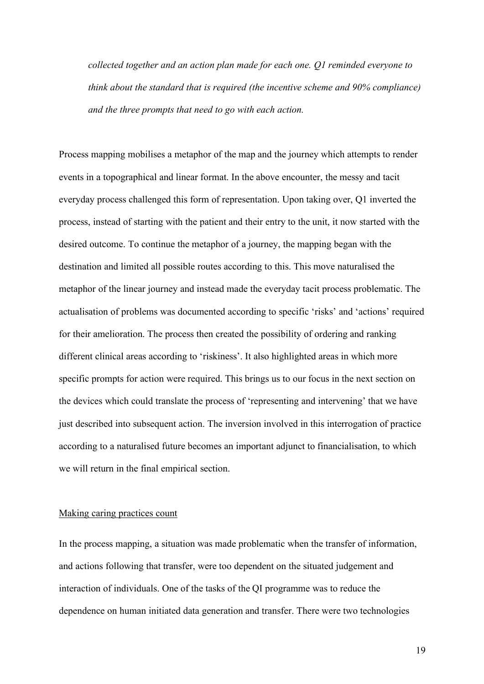*collected together and an action plan made for each one. Q1 reminded everyone to think about the standard that is required (the incentive scheme and 90% compliance) and the three prompts that need to go with each action.*

Process mapping mobilises a metaphor of the map and the journey which attempts to render events in a topographical and linear format. In the above encounter, the messy and tacit everyday process challenged this form of representation. Upon taking over, Q1 inverted the process, instead of starting with the patient and their entry to the unit, it now started with the desired outcome. To continue the metaphor of a journey, the mapping began with the destination and limited all possible routes according to this. This move naturalised the metaphor of the linear journey and instead made the everyday tacit process problematic. The actualisation of problems was documented according to specific 'risks' and 'actions' required for their amelioration. The process then created the possibility of ordering and ranking different clinical areas according to 'riskiness'. It also highlighted areas in which more specific prompts for action were required. This brings us to our focus in the next section on the devices which could translate the process of 'representing and intervening' that we have just described into subsequent action. The inversion involved in this interrogation of practice according to a naturalised future becomes an important adjunct to financialisation, to which we will return in the final empirical section.

#### Making caring practices count

In the process mapping, a situation was made problematic when the transfer of information, and actions following that transfer, were too dependent on the situated judgement and interaction of individuals. One of the tasks of the QI programme was to reduce the dependence on human initiated data generation and transfer. There were two technologies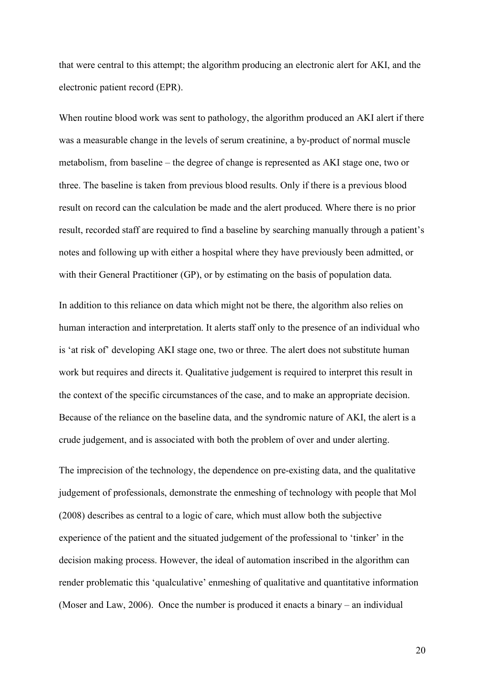that were central to this attempt; the algorithm producing an electronic alert for AKI, and the electronic patient record (EPR).

When routine blood work was sent to pathology, the algorithm produced an AKI alert if there was a measurable change in the levels of serum creatinine, a by-product of normal muscle metabolism, from baseline – the degree of change is represented as AKI stage one, two or three. The baseline is taken from previous blood results. Only if there is a previous blood result on record can the calculation be made and the alert produced. Where there is no prior result, recorded staff are required to find a baseline by searching manually through a patient's notes and following up with either a hospital where they have previously been admitted, or with their General Practitioner (GP), or by estimating on the basis of population data.

In addition to this reliance on data which might not be there, the algorithm also relies on human interaction and interpretation. It alerts staff only to the presence of an individual who is 'at risk of' developing AKI stage one, two or three. The alert does not substitute human work but requires and directs it. Qualitative judgement is required to interpret this result in the context of the specific circumstances of the case, and to make an appropriate decision. Because of the reliance on the baseline data, and the syndromic nature of AKI, the alert is a crude judgement, and is associated with both the problem of over and under alerting.

The imprecision of the technology, the dependence on pre-existing data, and the qualitative judgement of professionals, demonstrate the enmeshing of technology with people that Mol (2008) describes as central to a logic of care, which must allow both the subjective experience of the patient and the situated judgement of the professional to 'tinker' in the decision making process. However, the ideal of automation inscribed in the algorithm can render problematic this 'qualculative' enmeshing of qualitative and quantitative information (Moser and Law, 2006). Once the number is produced it enacts a binary – an individual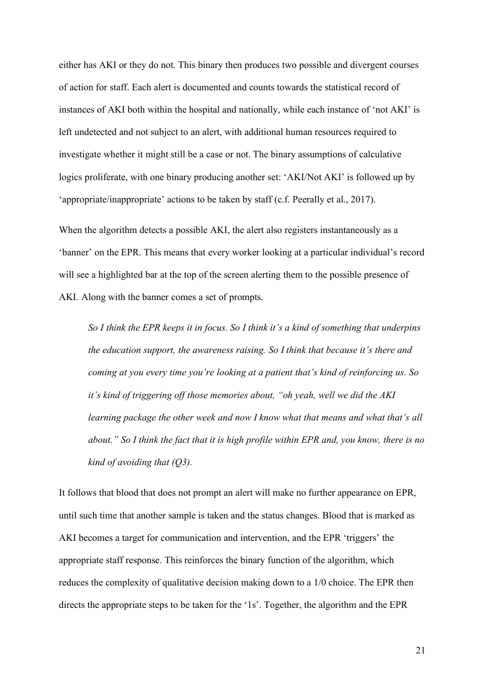either has AKI or they do not. This binary then produces two possible and divergent courses of action for staff. Each alert is documented and counts towards the statistical record of instances of AKI both within the hospital and nationally, while each instance of 'not AKI' is left undetected and not subject to an alert, with additional human resources required to investigate whether it might still be a case or not. The binary assumptions of calculative logics proliferate, with one binary producing another set: 'AKI/Not AKI' is followed up by 'appropriate/inappropriate' actions to be taken by staff (c.f. Peerally et al., 2017).

When the algorithm detects a possible AKI, the alert also registers instantaneously as a 'banner' on the EPR. This means that every worker looking at a particular individual's record will see a highlighted bar at the top of the screen alerting them to the possible presence of AKI. Along with the banner comes a set of prompts.

*So I think the EPR keeps it in focus. So I think it's a kind of something that underpins the education support, the awareness raising. So I think that because it's there and coming at you every time you're looking at a patient that's kind of reinforcing us. So it's kind of triggering off those memories about, "oh yeah, well we did the AKI learning package the other week and now I know what that means and what that's all about." So I think the fact that it is high profile within EPR and, you know, there is no kind of avoiding that (Q3).*

It follows that blood that does not prompt an alert will make no further appearance on EPR, until such time that another sample is taken and the status changes. Blood that is marked as AKI becomes a target for communication and intervention, and the EPR 'triggers' the appropriate staff response. This reinforces the binary function of the algorithm, which reduces the complexity of qualitative decision making down to a 1/0 choice. The EPR then directs the appropriate steps to be taken for the '1s'. Together, the algorithm and the EPR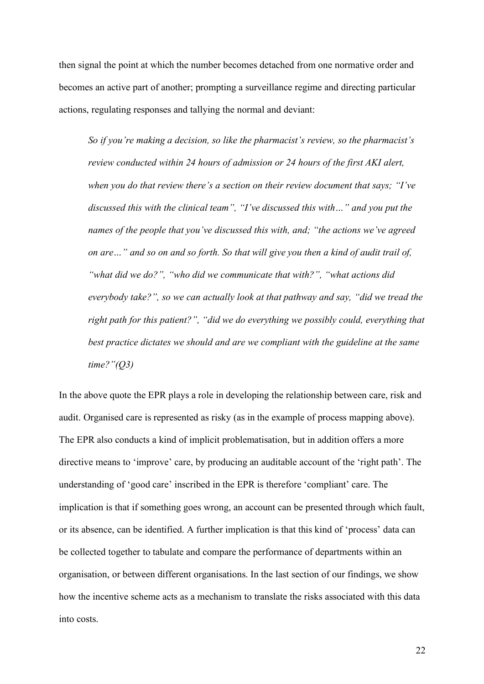then signal the point at which the number becomes detached from one normative order and becomes an active part of another; prompting a surveillance regime and directing particular actions, regulating responses and tallying the normal and deviant:

*So if you're making a decision, so like the pharmacist's review, so the pharmacist's review conducted within 24 hours of admission or 24 hours of the first AKI alert, when you do that review there's a section on their review document that says; "I've discussed this with the clinical team", "I've discussed this with…" and you put the names of the people that you've discussed this with, and; "the actions we've agreed on are…" and so on and so forth. So that will give you then a kind of audit trail of, "what did we do?", "who did we communicate that with?", "what actions did everybody take?", so we can actually look at that pathway and say, "did we tread the right path for this patient?", "did we do everything we possibly could, everything that best practice dictates we should and are we compliant with the guideline at the same time?"(Q3)*

In the above quote the EPR plays a role in developing the relationship between care, risk and audit. Organised care is represented as risky (as in the example of process mapping above). The EPR also conducts a kind of implicit problematisation, but in addition offers a more directive means to 'improve' care, by producing an auditable account of the 'right path'. The understanding of 'good care' inscribed in the EPR is therefore 'compliant' care. The implication is that if something goes wrong, an account can be presented through which fault, or its absence, can be identified. A further implication is that this kind of 'process' data can be collected together to tabulate and compare the performance of departments within an organisation, or between different organisations. In the last section of our findings, we show how the incentive scheme acts as a mechanism to translate the risks associated with this data into costs.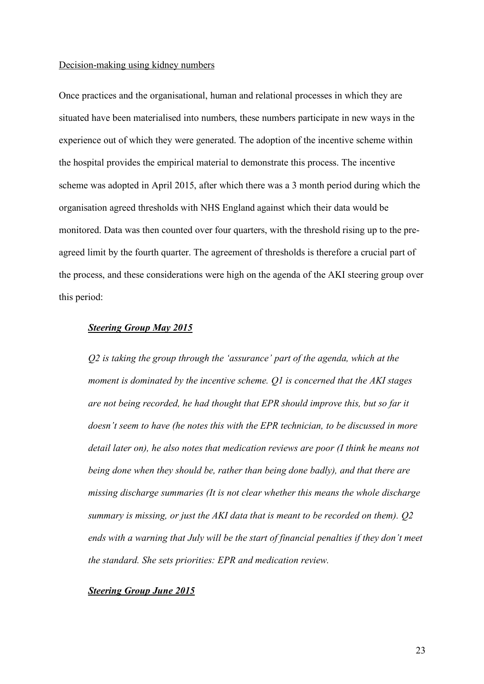#### Decision-making using kidney numbers

Once practices and the organisational, human and relational processes in which they are situated have been materialised into numbers, these numbers participate in new ways in the experience out of which they were generated. The adoption of the incentive scheme within the hospital provides the empirical material to demonstrate this process. The incentive scheme was adopted in April 2015, after which there was a 3 month period during which the organisation agreed thresholds with NHS England against which their data would be monitored. Data was then counted over four quarters, with the threshold rising up to the preagreed limit by the fourth quarter. The agreement of thresholds is therefore a crucial part of the process, and these considerations were high on the agenda of the AKI steering group over this period:

#### *Steering Group May 2015*

*Q2 is taking the group through the 'assurance' part of the agenda, which at the moment is dominated by the incentive scheme. Q1 is concerned that the AKI stages are not being recorded, he had thought that EPR should improve this, but so far it doesn't seem to have (he notes this with the EPR technician, to be discussed in more detail later on), he also notes that medication reviews are poor (I think he means not being done when they should be, rather than being done badly), and that there are missing discharge summaries (It is not clear whether this means the whole discharge summary is missing, or just the AKI data that is meant to be recorded on them). Q2 ends with a warning that July will be the start of financial penalties if they don't meet the standard. She sets priorities: EPR and medication review.* 

#### *Steering Group June 2015*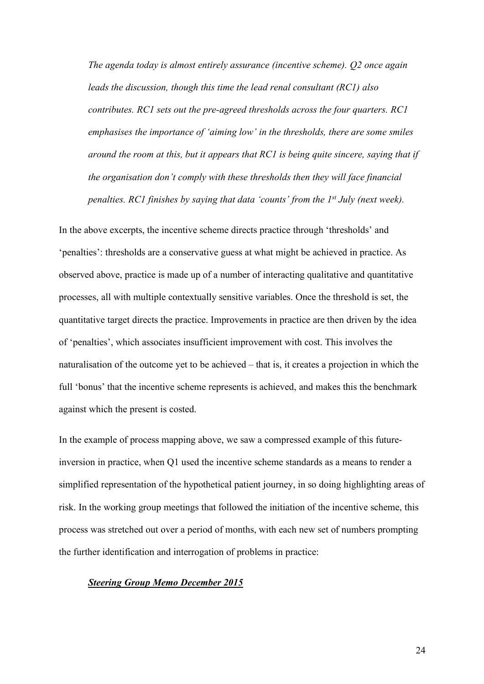*The agenda today is almost entirely assurance (incentive scheme). Q2 once again leads the discussion, though this time the lead renal consultant (RC1) also contributes. RC1 sets out the pre-agreed thresholds across the four quarters. RC1 emphasises the importance of 'aiming low' in the thresholds, there are some smiles around the room at this, but it appears that RC1 is being quite sincere, saying that if the organisation don't comply with these thresholds then they will face financial penalties. RC1 finishes by saying that data 'counts' from the 1st July (next week).*

In the above excerpts, the incentive scheme directs practice through 'thresholds' and 'penalties': thresholds are a conservative guess at what might be achieved in practice. As observed above, practice is made up of a number of interacting qualitative and quantitative processes, all with multiple contextually sensitive variables. Once the threshold is set, the quantitative target directs the practice. Improvements in practice are then driven by the idea of 'penalties', which associates insufficient improvement with cost. This involves the naturalisation of the outcome yet to be achieved – that is, it creates a projection in which the full 'bonus' that the incentive scheme represents is achieved, and makes this the benchmark against which the present is costed.

In the example of process mapping above, we saw a compressed example of this futureinversion in practice, when Q1 used the incentive scheme standards as a means to render a simplified representation of the hypothetical patient journey, in so doing highlighting areas of risk. In the working group meetings that followed the initiation of the incentive scheme, this process was stretched out over a period of months, with each new set of numbers prompting the further identification and interrogation of problems in practice:

#### *Steering Group Memo December 2015*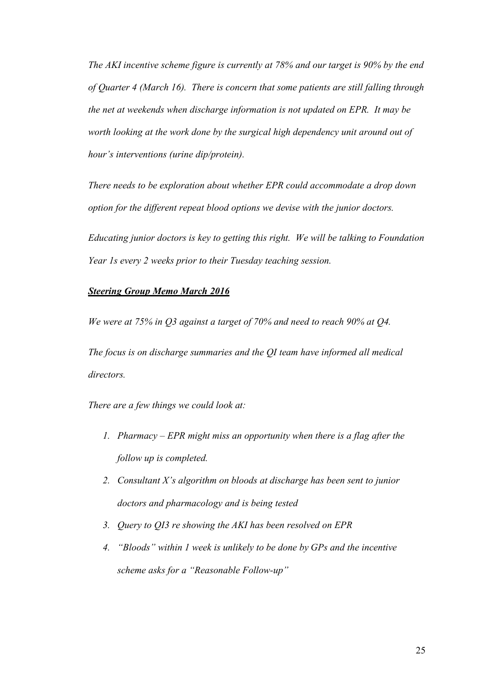*The AKI incentive scheme figure is currently at 78% and our target is 90% by the end of Quarter 4 (March 16). There is concern that some patients are still falling through the net at weekends when discharge information is not updated on EPR. It may be worth looking at the work done by the surgical high dependency unit around out of hour's interventions (urine dip/protein).*

*There needs to be exploration about whether EPR could accommodate a drop down option for the different repeat blood options we devise with the junior doctors.* 

*Educating junior doctors is key to getting this right. We will be talking to Foundation Year 1s every 2 weeks prior to their Tuesday teaching session.*

#### *Steering Group Memo March 2016*

*We were at 75% in Q3 against a target of 70% and need to reach 90% at Q4.*

*The focus is on discharge summaries and the QI team have informed all medical directors.* 

*There are a few things we could look at:* 

- *1. Pharmacy EPR might miss an opportunity when there is a flag after the follow up is completed.*
- *2. Consultant X's algorithm on bloods at discharge has been sent to junior doctors and pharmacology and is being tested*
- *3. Query to QI3 re showing the AKI has been resolved on EPR*
- *4. "Bloods" within 1 week is unlikely to be done by GPs and the incentive scheme asks for a "Reasonable Follow-up"*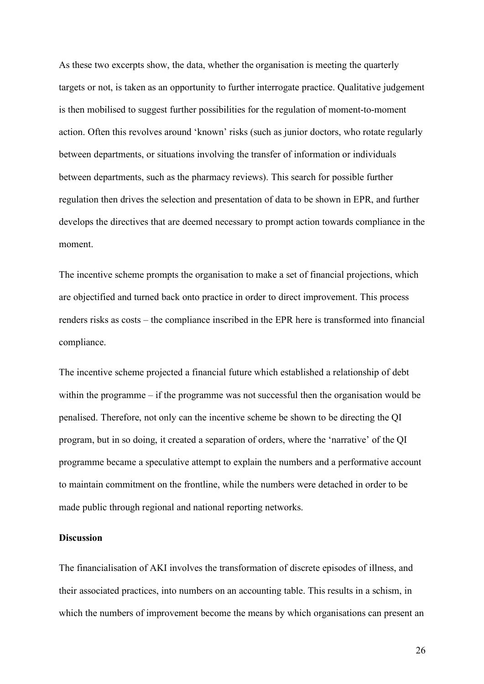As these two excerpts show, the data, whether the organisation is meeting the quarterly targets or not, is taken as an opportunity to further interrogate practice. Qualitative judgement is then mobilised to suggest further possibilities for the regulation of moment-to-moment action. Often this revolves around 'known' risks (such as junior doctors, who rotate regularly between departments, or situations involving the transfer of information or individuals between departments, such as the pharmacy reviews). This search for possible further regulation then drives the selection and presentation of data to be shown in EPR, and further develops the directives that are deemed necessary to prompt action towards compliance in the moment.

The incentive scheme prompts the organisation to make a set of financial projections, which are objectified and turned back onto practice in order to direct improvement. This process renders risks as costs – the compliance inscribed in the EPR here is transformed into financial compliance.

The incentive scheme projected a financial future which established a relationship of debt within the programme – if the programme was not successful then the organisation would be penalised. Therefore, not only can the incentive scheme be shown to be directing the QI program, but in so doing, it created a separation of orders, where the 'narrative' of the QI programme became a speculative attempt to explain the numbers and a performative account to maintain commitment on the frontline, while the numbers were detached in order to be made public through regional and national reporting networks.

#### **Discussion**

The financialisation of AKI involves the transformation of discrete episodes of illness, and their associated practices, into numbers on an accounting table. This results in a schism, in which the numbers of improvement become the means by which organisations can present an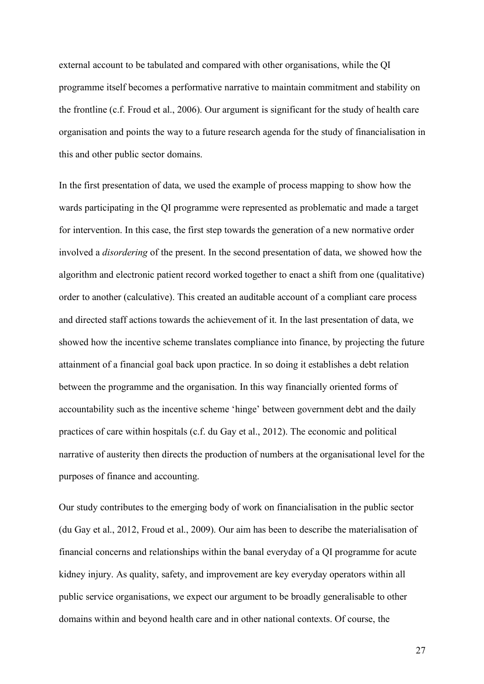external account to be tabulated and compared with other organisations, while the QI programme itself becomes a performative narrative to maintain commitment and stability on the frontline (c.f. Froud et al., 2006). Our argument is significant for the study of health care organisation and points the way to a future research agenda for the study of financialisation in this and other public sector domains.

In the first presentation of data, we used the example of process mapping to show how the wards participating in the QI programme were represented as problematic and made a target for intervention. In this case, the first step towards the generation of a new normative order involved a *disordering* of the present. In the second presentation of data, we showed how the algorithm and electronic patient record worked together to enact a shift from one (qualitative) order to another (calculative). This created an auditable account of a compliant care process and directed staff actions towards the achievement of it. In the last presentation of data, we showed how the incentive scheme translates compliance into finance, by projecting the future attainment of a financial goal back upon practice. In so doing it establishes a debt relation between the programme and the organisation. In this way financially oriented forms of accountability such as the incentive scheme 'hinge' between government debt and the daily practices of care within hospitals (c.f. du Gay et al., 2012). The economic and political narrative of austerity then directs the production of numbers at the organisational level for the purposes of finance and accounting.

Our study contributes to the emerging body of work on financialisation in the public sector (du Gay et al., 2012, Froud et al., 2009). Our aim has been to describe the materialisation of financial concerns and relationships within the banal everyday of a QI programme for acute kidney injury. As quality, safety, and improvement are key everyday operators within all public service organisations, we expect our argument to be broadly generalisable to other domains within and beyond health care and in other national contexts. Of course, the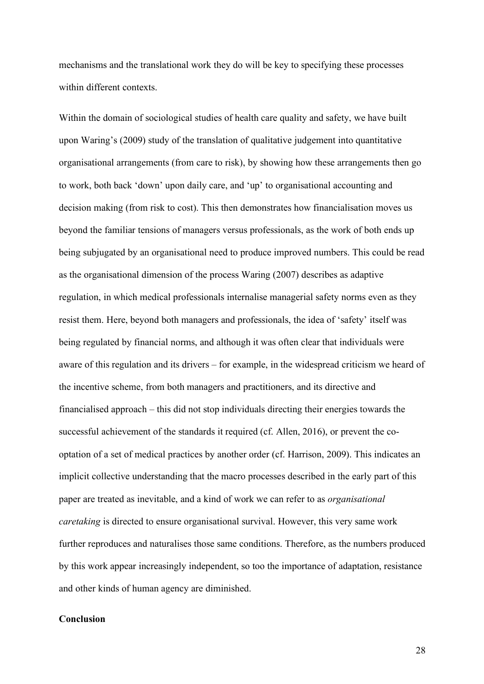mechanisms and the translational work they do will be key to specifying these processes within different contexts.

Within the domain of sociological studies of health care quality and safety, we have built upon Waring's (2009) study of the translation of qualitative judgement into quantitative organisational arrangements (from care to risk), by showing how these arrangements then go to work, both back 'down' upon daily care, and 'up' to organisational accounting and decision making (from risk to cost). This then demonstrates how financialisation moves us beyond the familiar tensions of managers versus professionals, as the work of both ends up being subjugated by an organisational need to produce improved numbers. This could be read as the organisational dimension of the process Waring (2007) describes as adaptive regulation, in which medical professionals internalise managerial safety norms even as they resist them. Here, beyond both managers and professionals, the idea of 'safety' itself was being regulated by financial norms, and although it was often clear that individuals were aware of this regulation and its drivers – for example, in the widespread criticism we heard of the incentive scheme, from both managers and practitioners, and its directive and financialised approach – this did not stop individuals directing their energies towards the successful achievement of the standards it required (cf. Allen, 2016), or prevent the cooptation of a set of medical practices by another order (cf. Harrison, 2009). This indicates an implicit collective understanding that the macro processes described in the early part of this paper are treated as inevitable, and a kind of work we can refer to as *organisational caretaking* is directed to ensure organisational survival. However, this very same work further reproduces and naturalises those same conditions. Therefore, as the numbers produced by this work appear increasingly independent, so too the importance of adaptation, resistance and other kinds of human agency are diminished.

#### **Conclusion**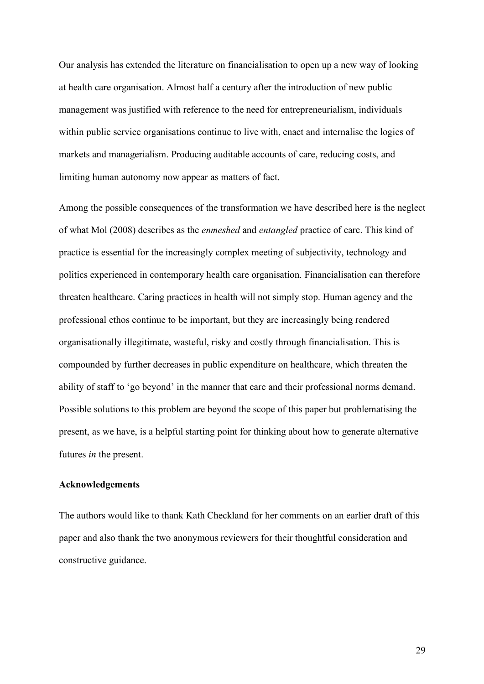Our analysis has extended the literature on financialisation to open up a new way of looking at health care organisation. Almost half a century after the introduction of new public management was justified with reference to the need for entrepreneurialism, individuals within public service organisations continue to live with, enact and internalise the logics of markets and managerialism. Producing auditable accounts of care, reducing costs, and limiting human autonomy now appear as matters of fact.

Among the possible consequences of the transformation we have described here is the neglect of what Mol (2008) describes as the *enmeshed* and *entangled* practice of care. This kind of practice is essential for the increasingly complex meeting of subjectivity, technology and politics experienced in contemporary health care organisation. Financialisation can therefore threaten healthcare. Caring practices in health will not simply stop. Human agency and the professional ethos continue to be important, but they are increasingly being rendered organisationally illegitimate, wasteful, risky and costly through financialisation. This is compounded by further decreases in public expenditure on healthcare, which threaten the ability of staff to 'go beyond' in the manner that care and their professional norms demand. Possible solutions to this problem are beyond the scope of this paper but problematising the present, as we have, is a helpful starting point for thinking about how to generate alternative futures *in* the present.

#### **Acknowledgements**

The authors would like to thank Kath Checkland for her comments on an earlier draft of this paper and also thank the two anonymous reviewers for their thoughtful consideration and constructive guidance.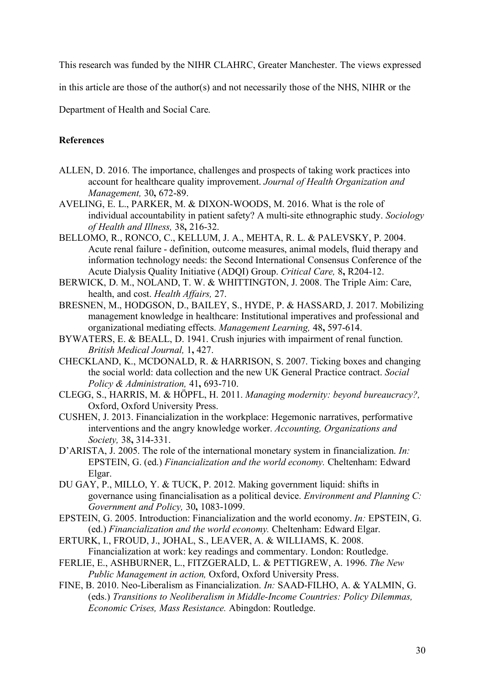This research was funded by the NIHR CLAHRC, Greater Manchester. The views expressed

in this article are those of the author(s) and not necessarily those of the NHS, NIHR or the

Department of Health and Social Care.

#### **References**

- ALLEN, D. 2016. The importance, challenges and prospects of taking work practices into account for healthcare quality improvement. *Journal of Health Organization and Management,* 30**,** 672-89.
- AVELING, E. L., PARKER, M. & DIXON-WOODS, M. 2016. What is the role of individual accountability in patient safety? A multi-site ethnographic study. *Sociology of Health and Illness,* 38**,** 216-32.
- BELLOMO, R., RONCO, C., KELLUM, J. A., MEHTA, R. L. & PALEVSKY, P. 2004. Acute renal failure - definition, outcome measures, animal models, fluid therapy and information technology needs: the Second International Consensus Conference of the Acute Dialysis Quality Initiative (ADQI) Group. *Critical Care,* 8**,** R204-12.
- BERWICK, D. M., NOLAND, T. W. & WHITTINGTON, J. 2008. The Triple Aim: Care, health, and cost. *Health Affairs,* 27.
- BRESNEN, M., HODGSON, D., BAILEY, S., HYDE, P. & HASSARD, J. 2017. Mobilizing management knowledge in healthcare: Institutional imperatives and professional and organizational mediating effects. *Management Learning,* 48**,** 597-614.
- BYWATERS, E. & BEALL, D. 1941. Crush injuries with impairment of renal function. *British Medical Journal,* 1**,** 427.
- CHECKLAND, K., MCDONALD, R. & HARRISON, S. 2007. Ticking boxes and changing the social world: data collection and the new UK General Practice contract. *Social Policy & Administration,* 41**,** 693-710.
- CLEGG, S., HARRIS, M. & HÖPFL, H. 2011. *Managing modernity: beyond bureaucracy?,*  Oxford, Oxford University Press.
- CUSHEN, J. 2013. Financialization in the workplace: Hegemonic narratives, performative interventions and the angry knowledge worker. *Accounting, Organizations and Society,* 38**,** 314-331.
- D'ARISTA, J. 2005. The role of the international monetary system in financialization. *In:* EPSTEIN, G. (ed.) *Financialization and the world economy.* Cheltenham: Edward Elgar.
- DU GAY, P., MILLO, Y. & TUCK, P. 2012. Making government liquid: shifts in governance using financialisation as a political device. *Environment and Planning C: Government and Policy,* 30**,** 1083-1099.
- EPSTEIN, G. 2005. Introduction: Financialization and the world economy. *In:* EPSTEIN, G. (ed.) *Financialization and the world economy.* Cheltenham: Edward Elgar.
- ERTURK, I., FROUD, J., JOHAL, S., LEAVER, A. & WILLIAMS, K. 2008. Financialization at work: key readings and commentary. London: Routledge.
- FERLIE, E., ASHBURNER, L., FITZGERALD, L. & PETTIGREW, A. 1996. *The New Public Management in action,* Oxford, Oxford University Press.
- FINE, B. 2010. Neo-Liberalism as Financialization. *In:* SAAD-FILHO, A. & YALMIN, G. (eds.) *Transitions to Neoliberalism in Middle-Income Countries: Policy Dilemmas, Economic Crises, Mass Resistance.* Abingdon: Routledge.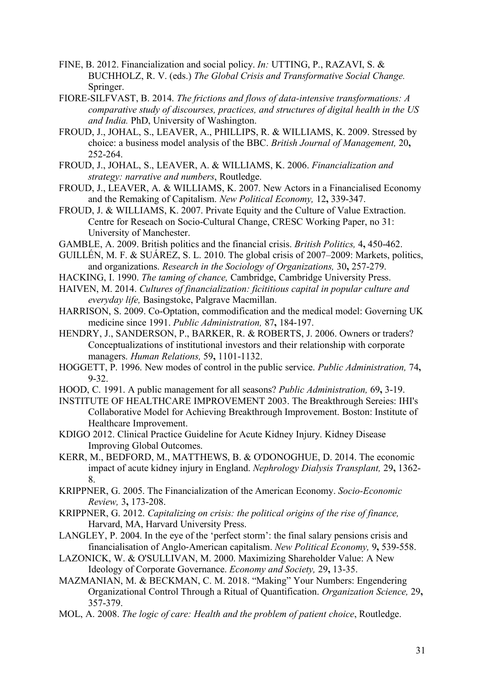- FINE, B. 2012. Financialization and social policy. *In:* UTTING, P., RAZAVI, S. & BUCHHOLZ, R. V. (eds.) *The Global Crisis and Transformative Social Change.* Springer.
- FIORE-SILFVAST, B. 2014. *The frictions and flows of data-intensive transformations: A comparative study of discourses, practices, and structures of digital health in the US and India.* PhD, University of Washington.
- FROUD, J., JOHAL, S., LEAVER, A., PHILLIPS, R. & WILLIAMS, K. 2009. Stressed by choice: a business model analysis of the BBC. *British Journal of Management,* 20**,** 252-264.
- FROUD, J., JOHAL, S., LEAVER, A. & WILLIAMS, K. 2006. *Financialization and strategy: narrative and numbers*, Routledge.
- FROUD, J., LEAVER, A. & WILLIAMS, K. 2007. New Actors in a Financialised Economy and the Remaking of Capitalism. *New Political Economy,* 12**,** 339-347.
- FROUD, J. & WILLIAMS, K. 2007. Private Equity and the Culture of Value Extraction. Centre for Reseach on Socio-Cultural Change, CRESC Working Paper, no 31: University of Manchester.
- GAMBLE, A. 2009. British politics and the financial crisis. *British Politics,* 4**,** 450-462.
- GUILLÉN, M. F. & SUÁREZ, S. L. 2010. The global crisis of 2007–2009: Markets, politics, and organizations. *Research in the Sociology of Organizations,* 30**,** 257-279.
- HACKING, I. 1990. *The taming of chance,* Cambridge, Cambridge University Press.
- HAIVEN, M. 2014. *Cultures of financialization: ficititious capital in popular culture and everyday life,* Basingstoke, Palgrave Macmillan.
- HARRISON, S. 2009. Co-Optation, commodification and the medical model: Governing UK medicine since 1991. *Public Administration,* 87**,** 184-197.
- HENDRY, J., SANDERSON, P., BARKER, R. & ROBERTS, J. 2006. Owners or traders? Conceptualizations of institutional investors and their relationship with corporate managers. *Human Relations,* 59**,** 1101-1132.
- HOGGETT, P. 1996. New modes of control in the public service. *Public Administration,* 74**,** 9-32.
- HOOD, C. 1991. A public management for all seasons? *Public Administration,* 69**,** 3-19.
- INSTITUTE OF HEALTHCARE IMPROVEMENT 2003. The Breakthrough Sereies: IHI's Collaborative Model for Achieving Breakthrough Improvement. Boston: Institute of Healthcare Improvement.
- KDIGO 2012. Clinical Practice Guideline for Acute Kidney Injury. Kidney Disease Improving Global Outcomes.
- KERR, M., BEDFORD, M., MATTHEWS, B. & O'DONOGHUE, D. 2014. The economic impact of acute kidney injury in England. *Nephrology Dialysis Transplant,* 29**,** 1362- 8.
- KRIPPNER, G. 2005. The Financialization of the American Economy. *Socio-Economic Review,* 3**,** 173-208.
- KRIPPNER, G. 2012. *Capitalizing on crisis: the political origins of the rise of finance,* Harvard, MA, Harvard University Press.
- LANGLEY, P. 2004. In the eye of the 'perfect storm': the final salary pensions crisis and financialisation of Anglo!American capitalism. *New Political Economy,* 9**,** 539-558.
- LAZONICK, W. & O'SULLIVAN, M. 2000. Maximizing Shareholder Value: A New Ideology of Corporate Governance. *Economy and Society,* 29**,** 13-35.
- MAZMANIAN, M. & BECKMAN, C. M. 2018. "Making" Your Numbers: Engendering Organizational Control Through a Ritual of Quantification. *Organization Science,* 29**,** 357-379.
- MOL, A. 2008. *The logic of care: Health and the problem of patient choice*, Routledge.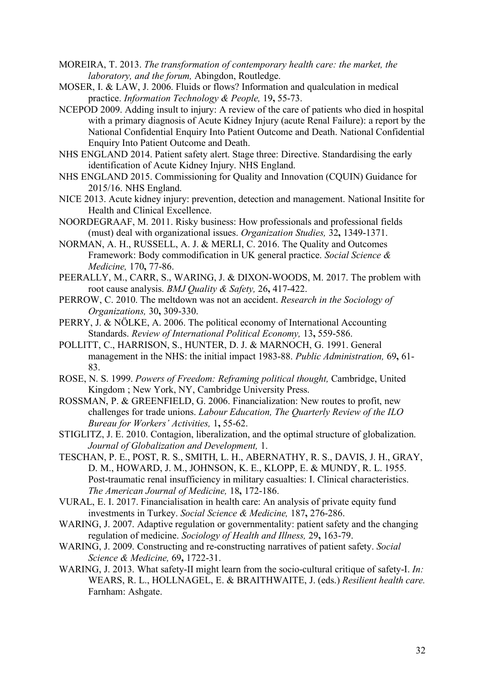MOREIRA, T. 2013. *The transformation of contemporary health care: the market, the laboratory, and the forum,* Abingdon, Routledge.

- MOSER, I. & LAW, J. 2006. Fluids or flows? Information and qualculation in medical practice. *Information Technology & People,* 19**,** 55-73.
- NCEPOD 2009. Adding insult to injury: A review of the care of patients who died in hospital with a primary diagnosis of Acute Kidney Injury (acute Renal Failure): a report by the National Confidential Enquiry Into Patient Outcome and Death. National Confidential Enquiry Into Patient Outcome and Death.
- NHS ENGLAND 2014. Patient safety alert. Stage three: Directive. Standardising the early identification of Acute Kidney Injury. NHS England.
- NHS ENGLAND 2015. Commissioning for Quality and Innovation (CQUIN) Guidance for 2015/16. NHS England.
- NICE 2013. Acute kidney injury: prevention, detection and management. National Insitite for Health and Clinical Excellence.
- NOORDEGRAAF, M. 2011. Risky business: How professionals and professional fields (must) deal with organizational issues. *Organization Studies,* 32**,** 1349-1371.
- NORMAN, A. H., RUSSELL, A. J. & MERLI, C. 2016. The Quality and Outcomes Framework: Body commodification in UK general practice. *Social Science & Medicine,* 170**,** 77-86.
- PEERALLY, M., CARR, S., WARING, J. & DIXON-WOODS, M. 2017. The problem with root cause analysis. *BMJ Quality & Safety,* 26**,** 417-422.
- PERROW, C. 2010. The meltdown was not an accident. *Research in the Sociology of Organizations,* 30**,** 309-330.
- PERRY, J. & NÖLKE, A. 2006. The political economy of International Accounting Standards. *Review of International Political Economy,* 13**,** 559-586.
- POLLITT, C., HARRISON, S., HUNTER, D. J. & MARNOCH, G. 1991. General management in the NHS: the initial impact 1983-88. *Public Administration,* 69**,** 61- 83.
- ROSE, N. S. 1999. *Powers of Freedom: Reframing political thought,* Cambridge, United Kingdom ; New York, NY, Cambridge University Press.
- ROSSMAN, P. & GREENFIELD, G. 2006. Financialization: New routes to profit, new challenges for trade unions. *Labour Education, The Quarterly Review of the ILO Bureau for Workers' Activities,* 1**,** 55-62.
- STIGLITZ, J. E. 2010. Contagion, liberalization, and the optimal structure of globalization. *Journal of Globalization and Development,* 1.
- TESCHAN, P. E., POST, R. S., SMITH, L. H., ABERNATHY, R. S., DAVIS, J. H., GRAY, D. M., HOWARD, J. M., JOHNSON, K. E., KLOPP, E. & MUNDY, R. L. 1955. Post-traumatic renal insufficiency in military casualties: I. Clinical characteristics. *The American Journal of Medicine,* 18**,** 172-186.
- VURAL, E. I. 2017. Financialisation in health care: An analysis of private equity fund investments in Turkey. *Social Science & Medicine,* 187**,** 276-286.
- WARING, J. 2007. Adaptive regulation or governmentality: patient safety and the changing regulation of medicine. *Sociology of Health and Illness,* 29**,** 163-79.
- WARING, J. 2009. Constructing and re-constructing narratives of patient safety. *Social Science & Medicine,* 69**,** 1722-31.
- WARING, J. 2013. What safety-II might learn from the socio-cultural critique of safety-I. *In:* WEARS, R. L., HOLLNAGEL, E. & BRAITHWAITE, J. (eds.) *Resilient health care.* Farnham: Ashgate.